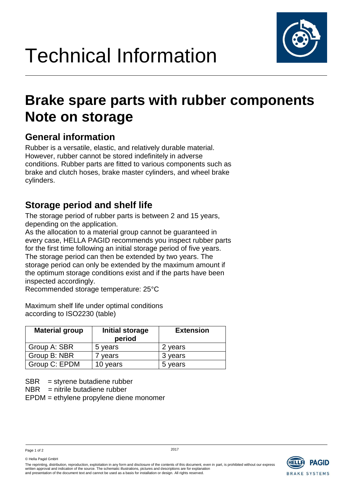

## **Brake spare parts with rubber components Note on storage**

### **General information**

Rubber is a versatile, elastic, and relatively durable material. However, rubber cannot be stored indefinitely in adverse conditions. Rubber parts are fitted to various components such as brake and clutch hoses, brake master cylinders, and wheel brake cylinders.

### **Storage period and shelf life**

The storage period of rubber parts is between 2 and 15 years, depending on the application.

As the allocation to a material group cannot be guaranteed in every case, HELLA PAGID recommends you inspect rubber parts for the first time following an initial storage period of five years. The storage period can then be extended by two years. The storage period can only be extended by the maximum amount if the optimum storage conditions exist and if the parts have been inspected accordingly.

Recommended storage temperature: 25°C

Maximum shelf life under optimal conditions according to ISO2230 (table)

| <b>Material group</b> | Initial storage<br>period | <b>Extension</b> |
|-----------------------|---------------------------|------------------|
| Group A: SBR          | 5 years                   | 2 years          |
| Group B: NBR          | years                     | 3 years          |
| Group C: EPDM         | 10 years                  | 5 years          |

 $SBR =$  styrene butadiene rubber

 $NBR$  = nitrile butadiene rubber

EPDM = ethylene propylene diene monomer

Page 1 of 2